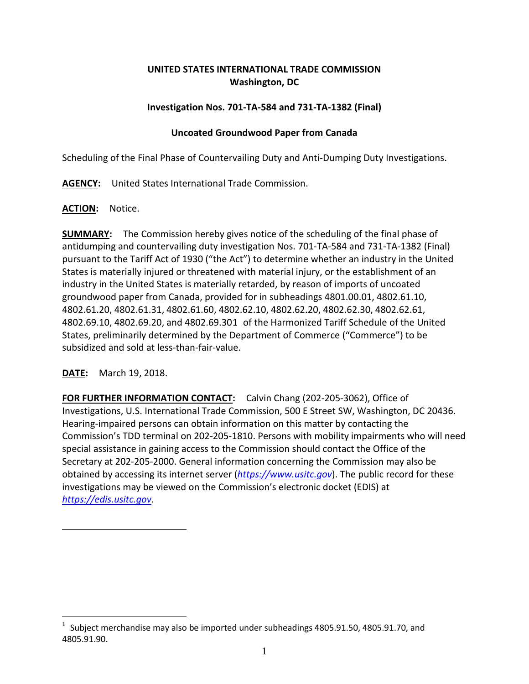# **UNITED STATES INTERNATIONAL TRADE COMMISSION Washington, DC**

## **Investigation Nos. 701-TA-584 and 731-TA-1382 (Final)**

### **Uncoated Groundwood Paper from Canada**

Scheduling of the Final Phase of Countervailing Duty and Anti-Dumping Duty Investigations.

**AGENCY:** United States International Trade Commission.

#### **ACTION:** Notice.

**SUMMARY:** The Commission hereby gives notice of the scheduling of the final phase of antidumping and countervailing duty investigation Nos. 701-TA-584 and 731-TA-1382 (Final) pursuant to the Tariff Act of 1930 ("the Act") to determine whether an industry in the United States is materially injured or threatened with material injury, or the establishment of an industry in the United States is materially retarded, by reason of imports of uncoated groundwood paper from Canada, provided for in subheadings 4801.00.01, 4802.61.10, 4802.61.20, 4802.61.31, 4802.61.60, 4802.62.10, 4802.62.20, 4802.62.30, 4802.62.61, 4802.69.10, 4802.69.20, and 4802.69.30[1](#page-0-0) of the Harmonized Tariff Schedule of the United States, preliminarily determined by the Department of Commerce ("Commerce") to be subsidized and sold at less-than-fair-value.

## **DATE:** March 19, 2018.

 $\overline{a}$ 

**FOR FURTHER INFORMATION CONTACT:** Calvin Chang (202-205-3062), Office of Investigations, U.S. International Trade Commission, 500 E Street SW, Washington, DC 20436. Hearing-impaired persons can obtain information on this matter by contacting the Commission's TDD terminal on 202-205-1810. Persons with mobility impairments who will need special assistance in gaining access to the Commission should contact the Office of the Secretary at 202-205-2000. General information concerning the Commission may also be obtained by accessing its internet server (*[https://www.usitc.gov](https://www.usitc.gov/)*). The public record for these investigations may be viewed on the Commission's electronic docket (EDIS) at *[https://edis.usitc.gov](https://edis.usitc.gov/)*.

<span id="page-0-0"></span><sup>1</sup> Subject merchandise may also be imported under subheadings 4805.91.50, 4805.91.70, and 4805.91.90.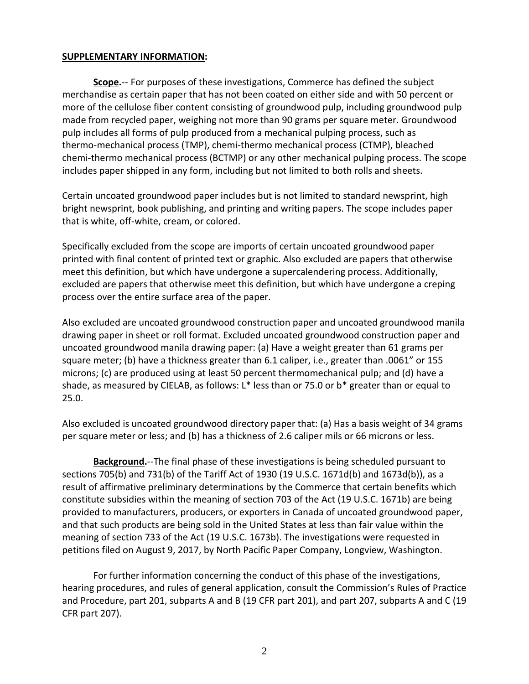#### **SUPPLEMENTARY INFORMATION:**

**Scope.**-- For purposes of these investigations, Commerce has defined the subject merchandise as certain paper that has not been coated on either side and with 50 percent or more of the cellulose fiber content consisting of groundwood pulp, including groundwood pulp made from recycled paper, weighing not more than 90 grams per square meter. Groundwood pulp includes all forms of pulp produced from a mechanical pulping process, such as thermo-mechanical process (TMP), chemi-thermo mechanical process (CTMP), bleached chemi-thermo mechanical process (BCTMP) or any other mechanical pulping process. The scope includes paper shipped in any form, including but not limited to both rolls and sheets.

Certain uncoated groundwood paper includes but is not limited to standard newsprint, high bright newsprint, book publishing, and printing and writing papers. The scope includes paper that is white, off-white, cream, or colored.

Specifically excluded from the scope are imports of certain uncoated groundwood paper printed with final content of printed text or graphic. Also excluded are papers that otherwise meet this definition, but which have undergone a supercalendering process. Additionally, excluded are papers that otherwise meet this definition, but which have undergone a creping process over the entire surface area of the paper.

Also excluded are uncoated groundwood construction paper and uncoated groundwood manila drawing paper in sheet or roll format. Excluded uncoated groundwood construction paper and uncoated groundwood manila drawing paper: (a) Have a weight greater than 61 grams per square meter; (b) have a thickness greater than 6.1 caliper, i.e., greater than .0061" or 155 microns; (c) are produced using at least 50 percent thermomechanical pulp; and (d) have a shade, as measured by CIELAB, as follows: L\* less than or 75.0 or b\* greater than or equal to 25.0.

Also excluded is uncoated groundwood directory paper that: (a) Has a basis weight of 34 grams per square meter or less; and (b) has a thickness of 2.6 caliper mils or 66 microns or less.

**Background.**--The final phase of these investigations is being scheduled pursuant to sections 705(b) and 731(b) of the Tariff Act of 1930 (19 U.S.C. 1671d(b) and 1673d(b)), as a result of affirmative preliminary determinations by the Commerce that certain benefits which constitute subsidies within the meaning of section 703 of the Act (19 U.S.C. 1671b) are being provided to manufacturers, producers, or exporters in Canada of uncoated groundwood paper, and that such products are being sold in the United States at less than fair value within the meaning of section 733 of the Act (19 U.S.C. 1673b). The investigations were requested in petitions filed on August 9, 2017, by North Pacific Paper Company, Longview, Washington.

For further information concerning the conduct of this phase of the investigations, hearing procedures, and rules of general application, consult the Commission's Rules of Practice and Procedure, part 201, subparts A and B (19 CFR part 201), and part 207, subparts A and C (19 CFR part 207).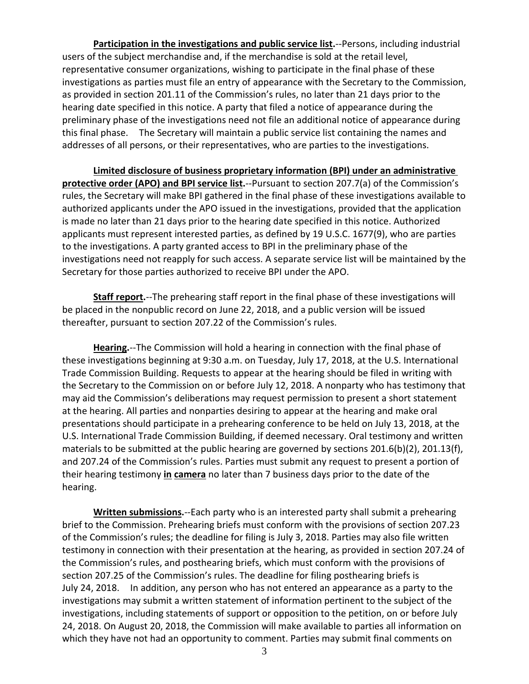**Participation in the investigations and public service list.**--Persons, including industrial users of the subject merchandise and, if the merchandise is sold at the retail level, representative consumer organizations, wishing to participate in the final phase of these investigations as parties must file an entry of appearance with the Secretary to the Commission, as provided in section 201.11 of the Commission's rules, no later than 21 days prior to the hearing date specified in this notice. A party that filed a notice of appearance during the preliminary phase of the investigations need not file an additional notice of appearance during this final phase. The Secretary will maintain a public service list containing the names and addresses of all persons, or their representatives, who are parties to the investigations.

**Limited disclosure of business proprietary information (BPI) under an administrative** 

**protective order (APO) and BPI service list.**--Pursuant to section 207.7(a) of the Commission's rules, the Secretary will make BPI gathered in the final phase of these investigations available to authorized applicants under the APO issued in the investigations, provided that the application is made no later than 21 days prior to the hearing date specified in this notice. Authorized applicants must represent interested parties, as defined by 19 U.S.C. 1677(9), who are parties to the investigations. A party granted access to BPI in the preliminary phase of the investigations need not reapply for such access. A separate service list will be maintained by the Secretary for those parties authorized to receive BPI under the APO.

**Staff report.**--The prehearing staff report in the final phase of these investigations will be placed in the nonpublic record on June 22, 2018, and a public version will be issued thereafter, pursuant to section 207.22 of the Commission's rules.

**Hearing.**--The Commission will hold a hearing in connection with the final phase of these investigations beginning at 9:30 a.m. on Tuesday, July 17, 2018, at the U.S. International Trade Commission Building. Requests to appear at the hearing should be filed in writing with the Secretary to the Commission on or before July 12, 2018. A nonparty who has testimony that may aid the Commission's deliberations may request permission to present a short statement at the hearing. All parties and nonparties desiring to appear at the hearing and make oral presentations should participate in a prehearing conference to be held on July 13, 2018, at the U.S. International Trade Commission Building, if deemed necessary. Oral testimony and written materials to be submitted at the public hearing are governed by sections 201.6(b)(2), 201.13(f), and 207.24 of the Commission's rules. Parties must submit any request to present a portion of their hearing testimony **in camera** no later than 7 business days prior to the date of the hearing.

**Written submissions.**--Each party who is an interested party shall submit a prehearing brief to the Commission. Prehearing briefs must conform with the provisions of section 207.23 of the Commission's rules; the deadline for filing is July 3, 2018. Parties may also file written testimony in connection with their presentation at the hearing, as provided in section 207.24 of the Commission's rules, and posthearing briefs, which must conform with the provisions of section 207.25 of the Commission's rules. The deadline for filing posthearing briefs is July 24, 2018. In addition, any person who has not entered an appearance as a party to the investigations may submit a written statement of information pertinent to the subject of the investigations, including statements of support or opposition to the petition, on or before July 24, 2018. On August 20, 2018, the Commission will make available to parties all information on which they have not had an opportunity to comment. Parties may submit final comments on